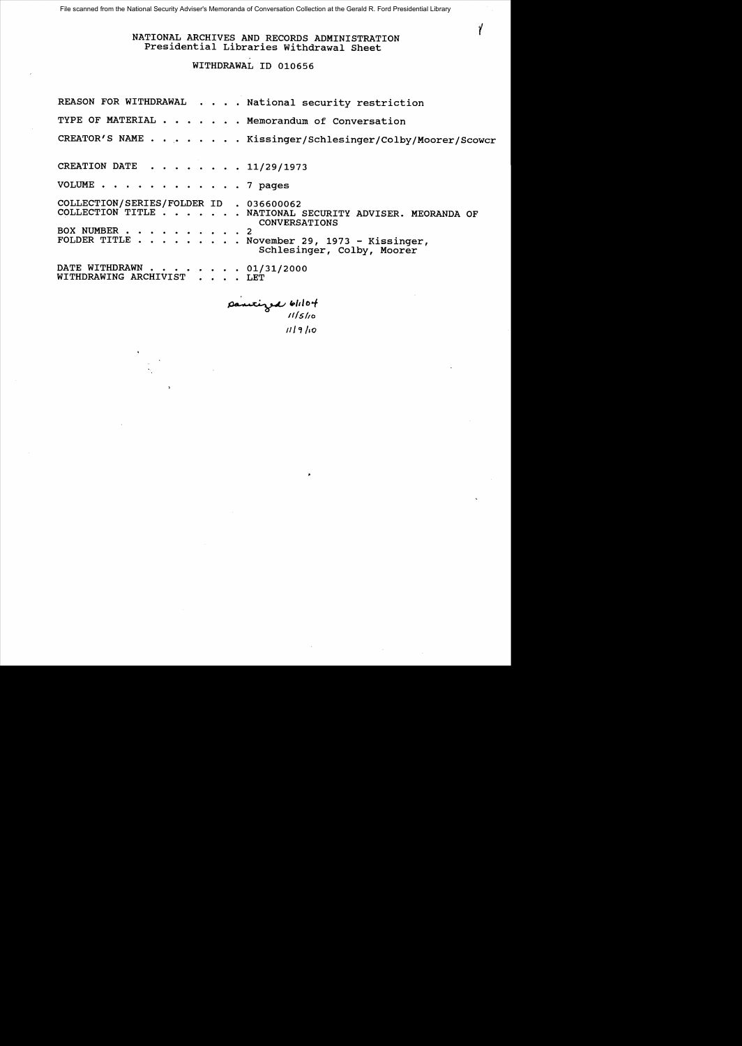# NATIONAL ARCHIVES AND RECORDS ADMINISTRATION Presidential Libraries withdrawal Sheet

Y

# WITHDRAWAL ID 010656

|                                                         |  |  | REASON FOR WITHDRAWAL National security restriction                                                                                                          |
|---------------------------------------------------------|--|--|--------------------------------------------------------------------------------------------------------------------------------------------------------------|
|                                                         |  |  | TYPE OF MATERIAL Memorandum of Conversation                                                                                                                  |
|                                                         |  |  | CREATOR'S NAME Kissinger/Schlesinger/Colby/Moorer/Scowcr                                                                                                     |
| CREATION DATE 11/29/1973                                |  |  |                                                                                                                                                              |
| VOLUME 7 pages                                          |  |  |                                                                                                                                                              |
| COLLECTION/SERIES/FOLDER ID . 036600062<br>BOX NUMBER 2 |  |  | COLLECTION TITLE NATIONAL SECURITY ADVISER. MEORANDA OF<br><b>CONVERSATIONS</b><br>FOLDER TITLE November 29, 1973 - Kissinger,<br>Schlesinger, Colby, Moorer |
| DATE WITHDRAWN 01/31/2000<br>WITHDRAWING ARCHIVIST LET  |  |  |                                                                                                                                                              |

pantized blilot *111"/10*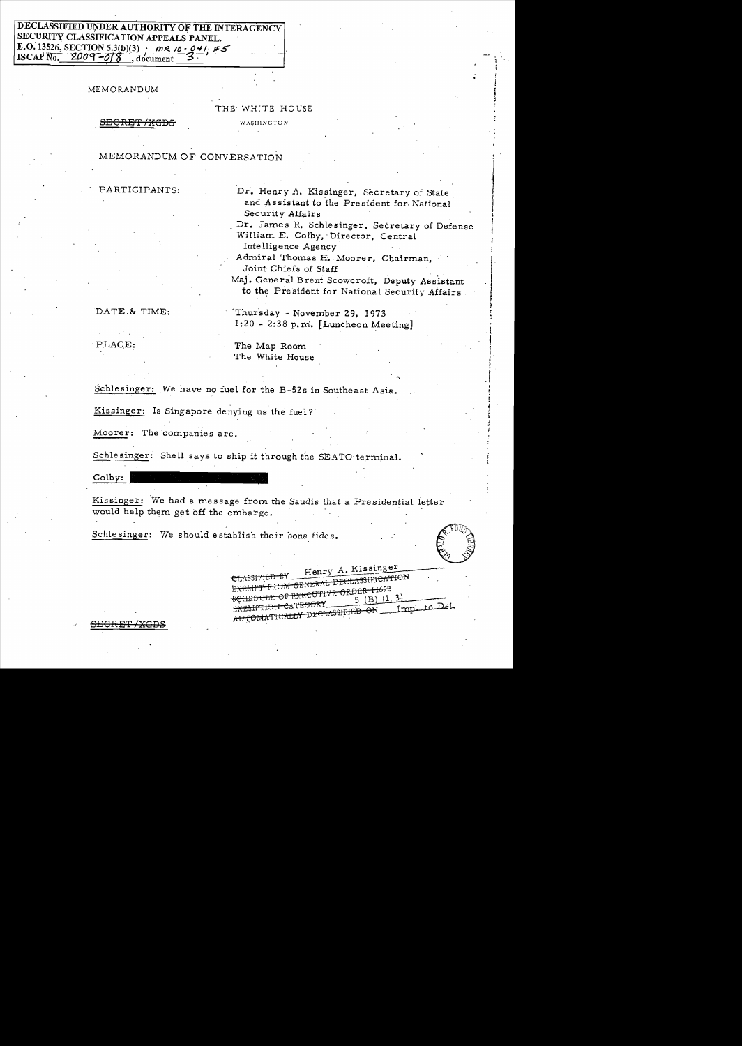# DECLASSIFIED UNDER AUTHORITY OF THE INTERAGENCY SECURITY CLASSIFICATION APPEALS PANEL. E.O. 13526, SECTION 5.3(b)(3)  $\mu R/\delta \cdot 0.41 \neq 5$ <br>ISCAP No. 2009-07 ... document 3 ISCAP  $\overline{N_0}$ . 2009–018

MEMORANDUM

## THE' WH[TE HOUSE

SECRET /XGDS WASHINGTON

#### MEMORANDUM OF CONVERSATION

PARTICIPANTS: Dr. Henry A. Kissinger, Secretary of State and Assistant to the President for National Security Affairs

> Dr. James R. Schlesinger, Secretary of Defense William E. Colby,' Director, Central

Inte lligence Agency Admiral Thomas H. Moorer, Chairman,

Joint Chiefs of Staff

Maj. General Brent Scowcroft, Deputy Assistant to the President for National Security Affairs

**In the contract of the contract of the contract of the contract of the contract of the contract of the contract** 

DATE. & TIME: Thursday - November 29, 1973 1:20 - 2:38 p.m:. [Luncheon Meeting]

PLACE: The Map Room The White House

Schlesinger: We have no fuel for the B-52s in Southeast Asia.

Kissinger: Is Singapore denying us the fuel?'

Moorer: The companies are.

Schlesinger: Shell says to ship it through the SEATO terminal.

Colby:

<del>GRET/XGDS</del>

Kissinger: We had a message from the Saudis that a Presidential ietter . ····;-;;'·· 1,(,/ Schlesinger: We should establish their bona fides. "-""", 0 would help them get off the embargo.

I I

! I .1

EXEMPT FROM GENERAL DECIDE 11652

11 CATEGORY 1918<br>18 R<del>UYOMATICALLY DECLASSIFIED ON</del> Imp to Det.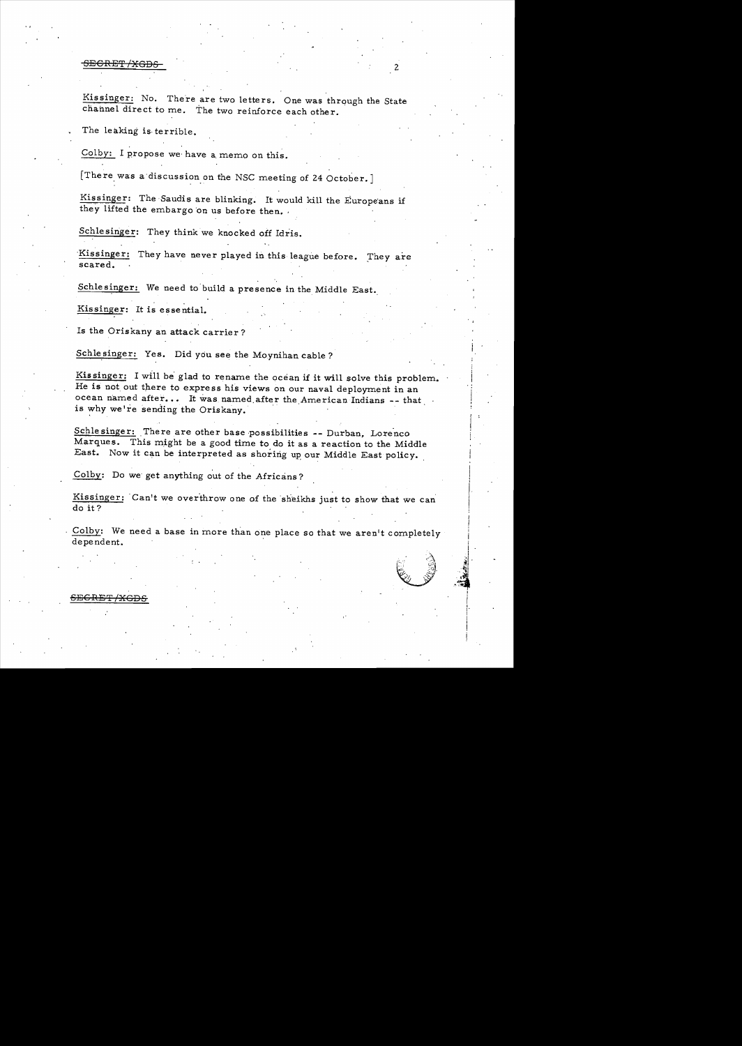<del>SECRET /XGDS</del>

Kissinger: No. There are two letters. One was through the State channel direct to me. The two reinforce each other.

The leaking is· terrible.

Colby: I propose we have a memo on this.

[There was a'discussion on the NSC meeting of 24 October. ]

Kissinger: The Saudis are blinking. It would kill the Europeans if they lifted the embargo on us before then.

Schlesinger: They think we knocked off Idris.

Kissinger: They have never played in this league before. They are scared.

Schlesinger: We need to'build a presence in the Middle East.

Kissinger: It is essential.

SEGRET/XGDS

Is the Oriskany an attack carrier?

Schlesinger: Yes. Did you see the Moynihan cable?

Kissinger: I will be glad to rename the ocean if it will solve this problem. He is not out there to express his views on our naval deployment in an ocean named after... It was named after the American Indians  $-$ - that is why we're sending the Oriskany.

Schlesinger: There are other base possibilities -- Durban, Lorenco Marques. This might be a good time to do it as a reaction to the Middle East. Now it can be interpreted as shoring up our Middle East policy.

Colby: Do we' get anything out of the Africans?

Kissinger: Can't we overthrow one of the sheikhs just to show that we can do it?

Colby: We need a base in more than one place so that we aren't completely dependent.

> ",·1  $\mathfrak{A}^{\parallel}$  . ,~i  $\mathbb{R}$  .  $-4.00$ i I I I' I 1 ! I i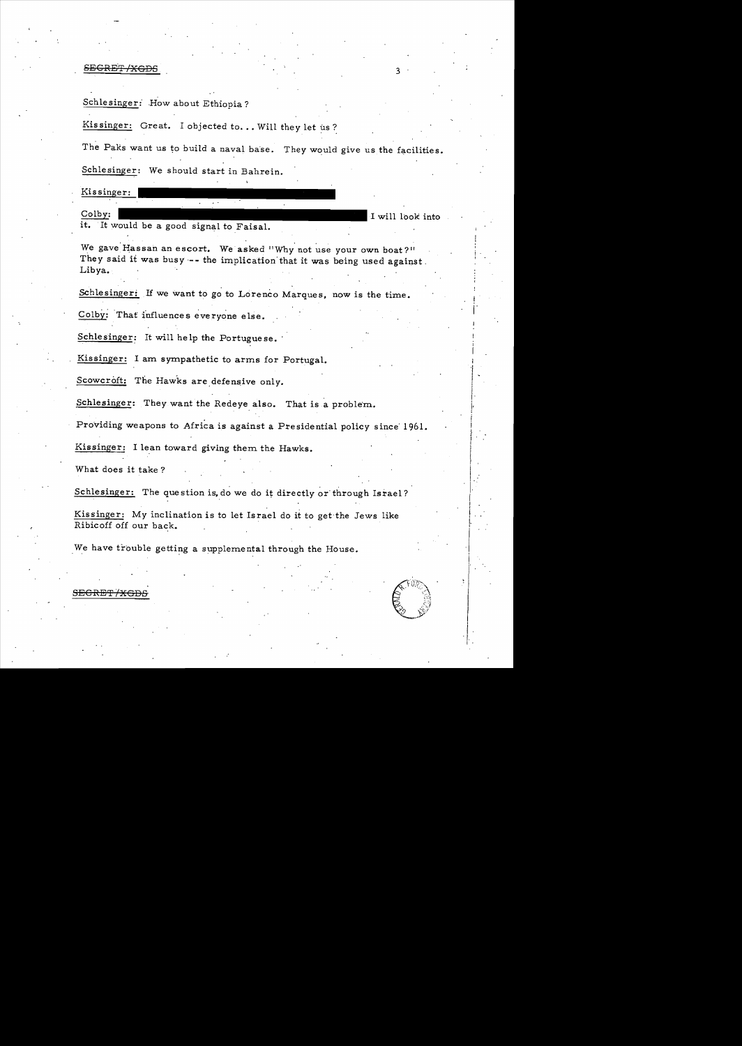#### SECRET/XGDS

# Schlesinger: How about Ethiopia?

Kissinger: Great. I objected to... Will they let us?

The Paks want us to build a naval base. They would give us the facilities. Schlesinger: We should start in Bahrein.

Kissinger: Colby: I will look into it. It would be a good signal to Faisal.

We gave Hassan an escort. We asked "Why not use your own boat?" They said it was busy -- the implication that it was being used against. Libya.

Schlesinger: If we want to go to Lorenco Marques, now is the time.

Colby: That influences everyone else.

Schlesinger: It will help the Portuguese.

Kissinger: I am sympathetic to arms for Portugal.

Scowcroft: The Hawks are defensive only.

Schlesinger: They want the Redeye also. That is a problem.

Providing weapons to Africa is against a Presidential policy since' 1961.

Kissinger: I lean toward giving them the Hawks.

What does it take?

Schlesinger: The question is, do we do it directly or through Israel?

Kissinger: My inclination is to let Israel do it to get the Jews like Ribicoff off our back.

We have trouble getting a supplemental through the House.



#### SECRET / XGDS

i· I

;  $j$   $\cdot$ I I I , i  $\begin{bmatrix} . & . & . \ . & . & . \ . & . & . \ . & . & . \ . & . & . \ . & . & . \ \end{bmatrix}$ 

I , I  $\vert \hspace{.06cm} \vert$  . . I I' I  $\cdot$  $\mathbf{I}$ " I  $\cdot$   $\cdot$ 

 $\vert$  $\vert$  .  $\cdot \mathrm{I}$ . I '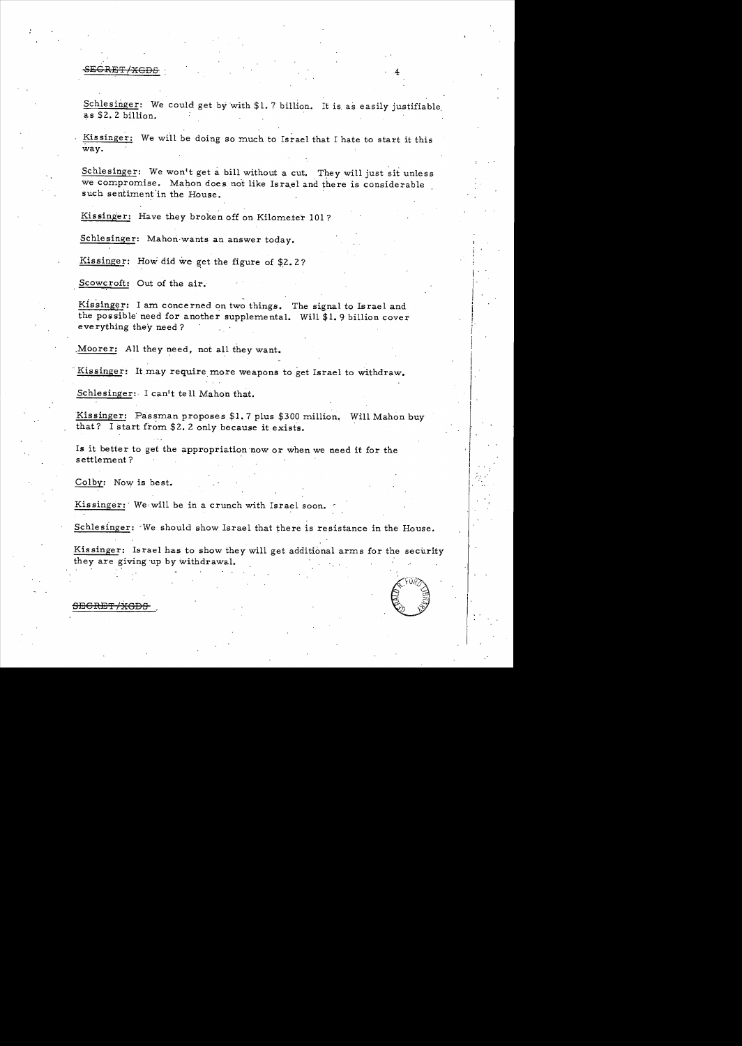#### SE<del>CRET/XGDS</del>

Schlesinger: We could get by with \$1.7 billion. It is as easily justifiable as \$2.2 billion.

Kissinger: We will be doing so much to Israel that I hate to start it this way.

Schlesinger: We won't get a bill without a cut. They will just sit unless we compromise. Mahon does not like Israel and there is considerable such sentiment in the House.

Kissinger: Have they broken off on Kilometer 101?

Schlesinger: Mahon·wants an answer today.

Kissinger: How did we get the figure of  $$2.2?$ 

Scowcroft: Out of the air.

Kissinger: I am concerned on two things. The signal to Israel and the possible need for another supplemental. Will \$1.9 billion cover everything they need?

Moorer: All they need, not all they want.

 I Kissinger: It may require more weapons to get Israel to withdraw.

Schlesinger: I can't tell Mahon that.

Kissinger: Passman proposes \$1.7 plus \$300 million. Will Mahon buy that? I start from  $$2.2$  only because it exists.

Is it better to get the appropriation now or when we need it for the settlement?

Colby: Now is best.

Kissinger: We will be in a crunch with Israel soon.

Schlesinger: 'We should show Israel that there is resistance in the House.

Kissinger: Israel has to show they will get additional arms for the security they are giving up by withdrawal.



I

 $\begin{array}{|c|} \hline \end{array}$ 

, i  $\mathbf{I}$ 

i  $\frac{1}{2}$ 

I·1

 $\mathbf{I}$ 

 $\vert$  :

I

<del>SECRET/XGDS</del>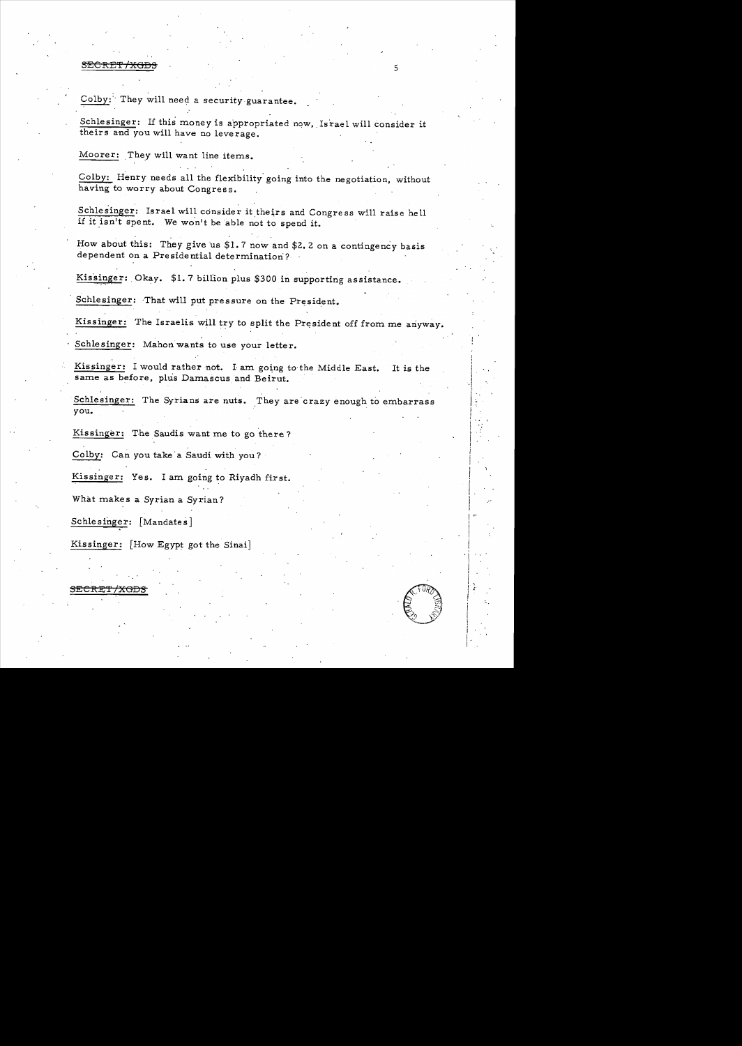#### er and the set of the set of the set of the set of the set of the set of the set of the set of the set of the set of the set of the set of the set of the set of the set of the set of the set of the set of the set of the se

. . Colby: They will need a security guarantee.

Schlesinger: If this money is appropriated now, Israel will consider it theirs and you will have no leverage.

Moorer: They will want line items.

Colby: Henry needs all the flexibility going into the negotiation, without having to worry about Congress.

Schlesinger: Israel will consider it theirs and Congress will raise hell if it isn't spent. We won't be able not to spend it.

How about this: They give us \$1.7 now and \$2.2 on a contingency basis dependent on a Presidential determination?

Kissinger: Okay. \$1.7 billion plus \$300 in supporting assistance.

Schlesinger: That will put pressure on the President.

Kissinger: The Israelis will try to split the President off from me anyway.

Schlesinger: Mahon wants to use your letter.

Kissinger: I would rather not. I am going to the Middle East. It is the same as before, plus Damascus and Beirut.

Schlesinger: The Syrians are nuts. They are crazy enough to embarrass you.  $\mathsf{you}$ . In the contract of  $\mathsf{I}$  is the contract of  $\mathsf{I}$  in the contract of  $\mathsf{I}$ 

Kissinger: The Saudis want me to go there?

Colby: Can you take a Saudi with you?

Kissinger: Yes. I am going to Riyadh first.

What makes a Syrian a Syrian?

Schlesinger: [Mandates]

Kissinger: [How Egypt got the Sinai]



! i

**-t** 

 $\mathbf{f}$  . ~ . . I .'

!<br>!

*i* 

 $\vert$  .

!

**International Contract Contract Contract** 

SECRET/XGDS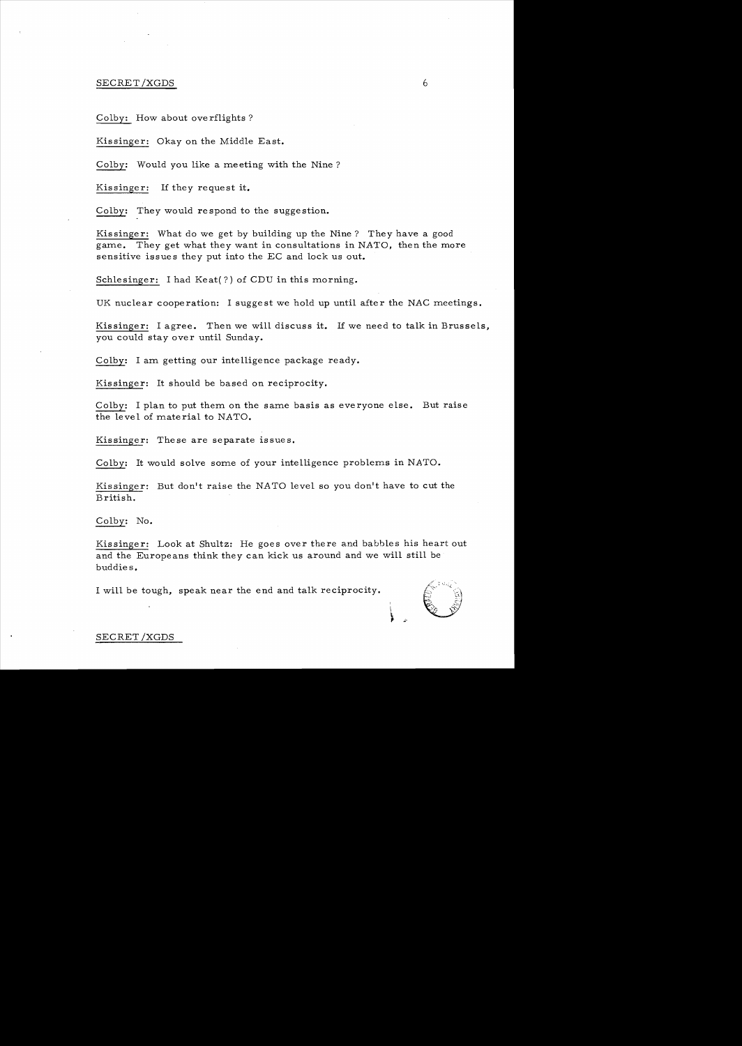## SECRET/XGDS 6

Colby: How about overflights?

Kissinger: Okay on the Middle East.

Colby: Would you like a meeting with the Nine?

Kissinger: If they request **it.** 

Colby: They would respond to the suggestion.

Kissinger: What do we get by building up the Nine? They have a good game. They get what they want in consultations in NATO, then the more sensitive issues they put into the EC and lock us out.

Schlesinger: I had  $K$ eat $(?)$  of CDU in this morning.

UK nuclear cooperation: I suggest we hold up until after the NAC meetings.

Kissinger: I agree. Then we will discuss **it.** If we need to talk in Brussels, you could stay over until Sunday.

Colby: I am getting our intelligence package ready.

Kissinger: It should be based on reciprocity.

Colby: I plan to put them on the same basis as everyone else. But raise the level of material to NATO.

Kissinger: These are separate issues.

Colby: It would solve some of your intelligence problems in NATO.

Kissinger: But don't raise the NATO level so you don't have to cut the British.

Colby: No.

Kissinger: Look at Shultz: He goes over there and babbles his heart out and the Europeans think they can kick us around and we will still be buddies.

I will be tough, speak near the end and talk reciprocity.



SECRET/XGDS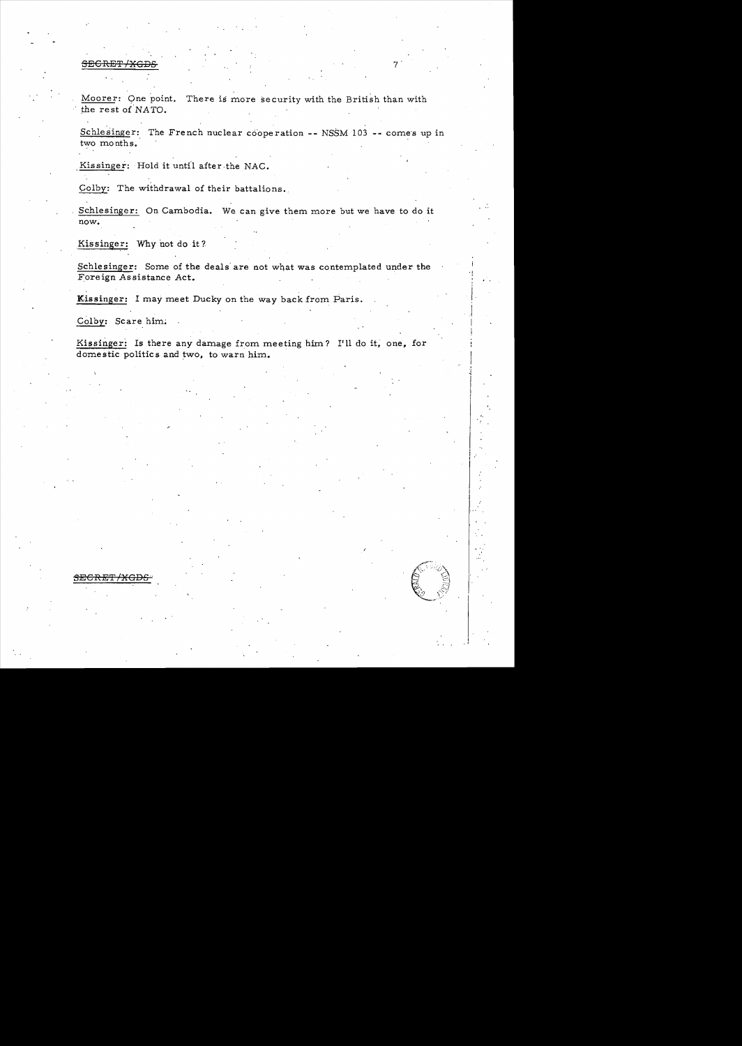#### SECRET/XGD

Moorer: Qne point. There is more security with the British than with the rest of NATO.

Schlesinger: The French nuclear cooperation -- NSSM 103 -- comes up in two months.

Kissinger: Hold it until after the NAC.

Colby: The withdrawal of their battalions.

Schlesinger: On Cambodia. We can give them more but we have to do it now.

Kissinger: Why not do it?

Schlesinger: Some of the deals are not what was contemplated under the Foreign Assistance Act.

Kissinger: I may meet Ducky on the way back from Paris.

Colby: Scare him:

Kissinger: Is there any damage from meeting him? I'll do it, one, for domestic politics and two, to warn him.

I .1

I I I

I , I